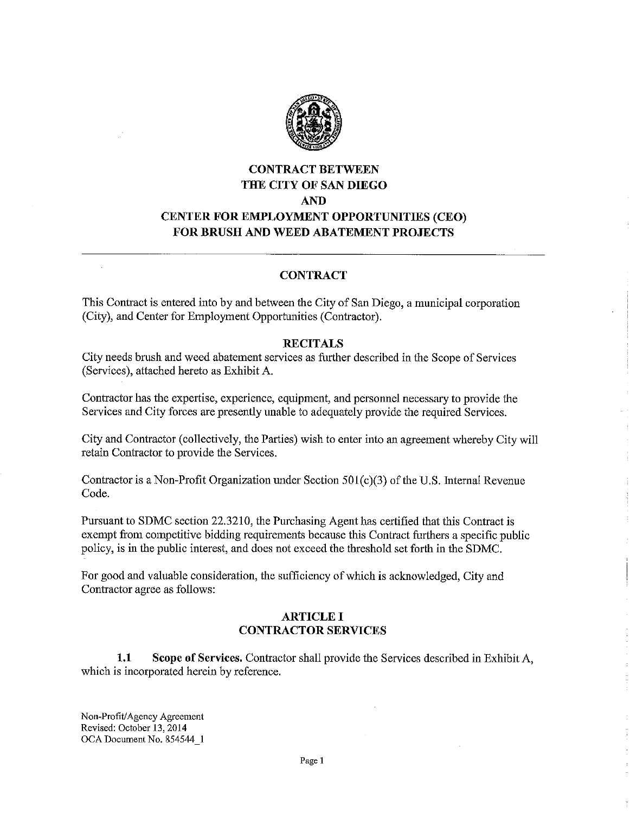

# **CONTRACT BETWEEN THE CITY OF SAN DIEGO AND CENTER FOR EMPLOYMENT OPPORTUNITIES (CEO) FOR BRUSH AND WEED ABATEMENT PROJECTS**

# **CONTRACT**

This Contract is entered into by and between the City of San Diego, a municipal corporation (City), and Center for Employment Opportunities (Contractor).

### **RECITALS**

City needs brush and weed abatement services as farther described in the Scope of Services (Services), attached hereto as Exhibit A.

Contractor has the expertise, experience, equipment, and personnel necessary to provide the Services and City forces are presently unable to adequately provide the required Services.

City and Contractor ( collectively, the Parties) wish to enter into an agreement whereby City will retain Contractor to provide the Services.

Contractor is a Non-Profit Organization under Section  $501(c)(3)$  of the U.S. Internal Revenue Code.

Pursuant to SDMC section 22.3210, the Purchasing Agent has certified that this Contract is exempt from competitive bidding requirements because this Contract furthers a specific public policy, is in the public interest, and does not exceed the threshold set forth in the SDMC.

For good and valuable consideration, the sufficiency of which is acknowledged, City and Contractor agree as follows:

# **ARTICLE I CONTRACTOR SERVICES**

**1.1 Scope of Services.** Contractor shall provide the Services described in Exhibit A, which is incorporated herein by reference.

Non-Profit/ Agency Agreement Revised: October 13, 2014 OCA Document No. 854544\_1

 $\ddot{\phantom{a}}$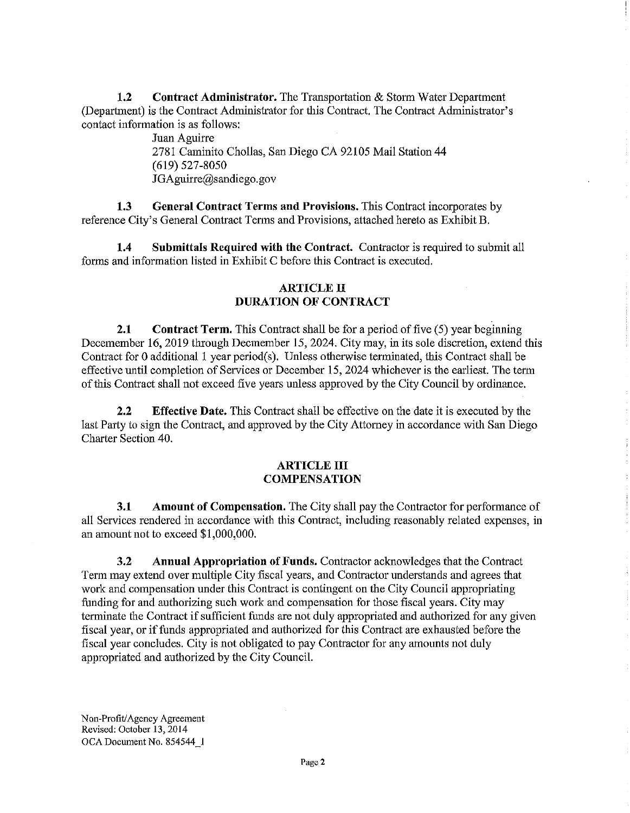**1.2 Contract Administrator.** The Transportation & Storm Water Department (Department) is the Contract Administrator for this Contract. The Contract Administrator's contact information is as follows:

> Juan Aguirre 2781 Caminita Chollas, San Diego CA 92105 Mail Station 44 (619) 527-8050 JGAguirre@sandiego.gov

**1.3 General Contract Terms and Provisions.** This Contract incorporates by reference City's General Contract Terms and Provisions, attached hereto as Exhibit B.

**1.4 Submittals Required with the Contract.** Contractor is required to submit all forms and information listed in Exhibit C before this Contract is executed.

# **ARTICLE II DURATION OF CONTRACT**

**2.1 Contract Term.** This Contract shall be for a period of five (5) year beginning Decemember 16, 2019 through Decmember 15, 2024. City may, in its sole discretion, extend this Contract for O additional I year period(s). Unless otherwise terminated, this Contract shall be effective until completion of Services or December 15, 2024 whichever is the earliest. The term of this Contract shall not exceed five years unless approved by the City Council by ordinance.

**2.2 Effective Date.** This Contract shall be effective on the date it is executed by the last Party to sign the Contract, and approved by the City Attorney in accordance with San Diego Charter Section 40.

## **ARTICLE III COMPENSATION**

**3.1 Amount of Compensation.** The City shall pay the Contractor for performance of all Services rendered in accordance with this Contract, including reasonably related expenses, in an amount not to exceed \$1,000,000.

**3.2 Annual Appropriation of Funds.** Contractor acknowledges that the Contract Term may extend over multiple City fiscal years, and Contractor understands and agrees that work and compensation under this Contract is contingent on the City Council appropriating funding for and authorizing such work and compensation for those fiscal years. City may terminate the Contract if sufficient funds are not duly appropriated and authorized for any given fiscal year, or if funds appropriated and authorized for this Contract are exhausted before the fiscal year concludes. City is not obligated to pay Contractor for any amounts not duly appropriated and authorized by the City Council.

Non-Profit/Agency Agreement Revised: October 13, 2014 OCA Document No. 854544 I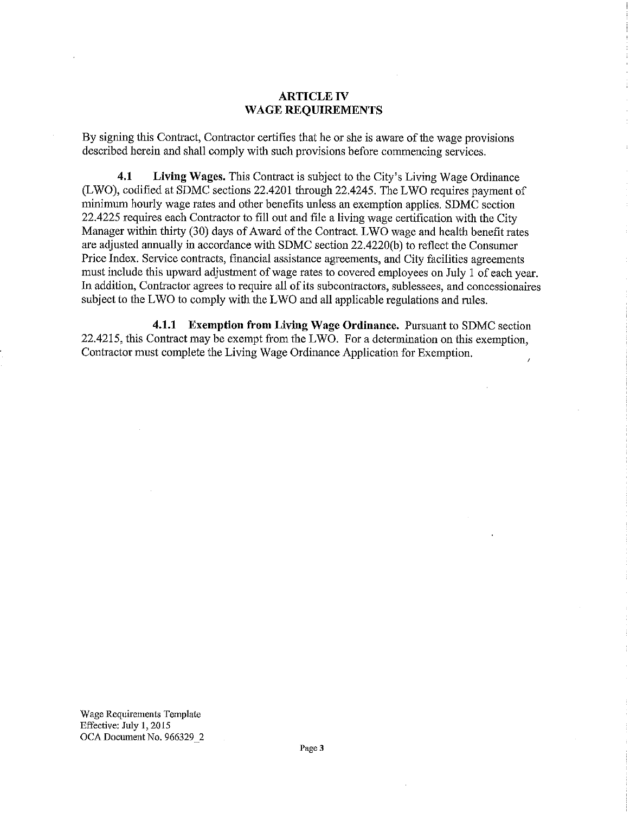## **ARTICLE IV WAGE REQUIREMENTS**

By signing this Contract, Contractor certifies that he or she is aware of the wage provisions described herein and shall comply with such provisions before commencing services.

**4.1 Living Wages.** This Contract is subject to the City's Living Wage Ordinance (LWO), codified at SDMC sections 22.4201 through 22.4245. The LWO requires payment of minimum hourly wage rates and other benefits lmless an exemption applies. SDMC section 22.4225 requires each Contractor to fill out and file a living wage certification with the City Manager within thirty (30) days of Award of the Contract. LWO wage and health benefit rates are adjusted annually in accordance with SDMC section 22.4220(b) to reflect the Consumer Price Index. Service contracts, financial assistance agreements, and City facilities agreements must include this upward adjustment of wage rates to covered employees on July 1 of each year. In addition, Contractor agrees to require all of its subcontractors, sublessees, and concessionaires subject to the LWO to comply with the LWO and all applicable regulations and rules.

**4.1.1 Exemption from Living Wage Ordinance.** Pursuant to SDMC section 22.4215, this Contract may be exempt from the LWO. For a determination on this exemption, Contractor must complete the Living Wage Ordinance Application for Exemption.

Wage Requirements Template Effective: July I, 2015 OCA Document No. 966329 2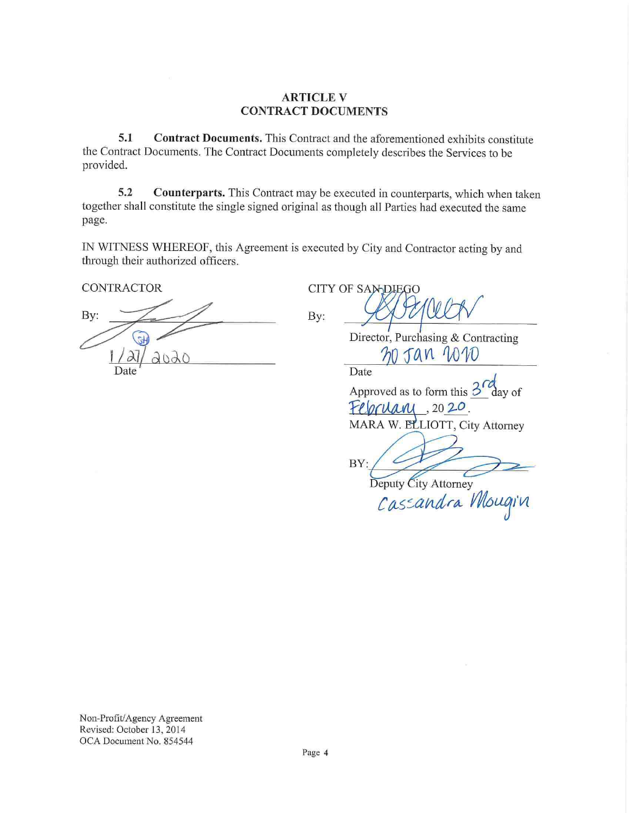# **ARTICLE V CONTRACT DOCUMENTS**

**5.1 Contract Documents.** This Contract and the aforementioned exhibits constitute the Contract Documents. The Contract Documents completely describes the Services to be provided.

**5.2** Counterparts. This Contract may be executed in counterparts, which when taken together shall constitute the single signed original as though all Parties had executed the same page.

IN WITNESS WHEREOF, this Agreement is executed by City and Contractor acting by and through their authorized officers.

**CONTRACTOR** 

By:  $\frac{1}{\sqrt{\frac{d}{d}}\sqrt{d}}$ **By ~**  1/27/2020 Date<sup>'</sup>

**CITY OF SAMDIEGO**  $By:$   $989000$ 

Director, Purchasing & Contracting  $20$   $591$   $20$ 

Date

Approved as to form this  $3<sup>7</sup>$ day of Februani  $, 20, 20,$ 

MARA W. ELLIOTT, City Attorney

BY:

Deputy City Attorney<br>Cascandra Mougin

Non-Profit/Agency Agreement Revised: October 13, 2014 OCA Document No. 854544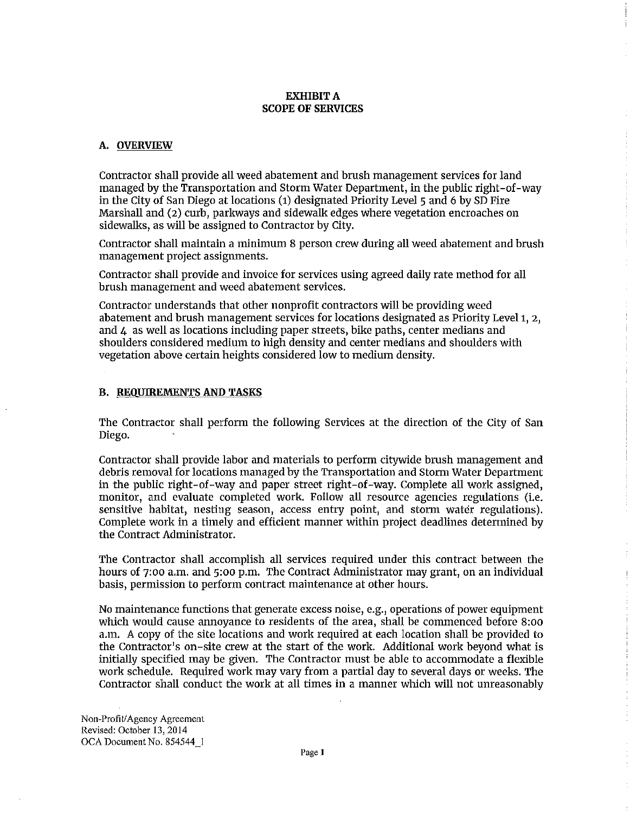#### **EXHIBIT A SCOPE OF SERVICES**

#### **A. OVERVIEW**

Contractor shall provide all weed abatement and brush management services for land managed by the Transportation and Storm Water Department, in the public right-of-way in the City of San Diego at locations (1) designated Priority Level 5 and 6 by SD Fire Marshall and (2) curb, parkways and sidewalk edges where vegetation encroaches on sidewalks, as will be assigned to Contractor by City.

Contractor shall maintain a minimum 8 person crew during all weed abatement and brush management project assignments.

Contractor shall provide and invoice for services using agreed daily rate method for all brush management and weed abatement services.

Contractor understands that other nonprofit contractors will be providing weed abatement and brush management services for locations designated as Priority Level 1, 2, and 4 as well as locations including paper streets, bike paths, center medians and shoulders considered medium to high density and center medians and shoulders with vegetation above certain heights considered low to medium density.

#### **B. REQUIREMENTS AND TASKS**

The Contractor shall perform the following Services at the direction of the City of San Diego.

Contractor shall provide labor and materials to perform citywide brush management and debris removal for locations managed by the Transportation and Storm Water Department in the public right-of-way and paper street right-of-way. Complete all work assigned, monitor, and evaluate completed work. Follow all resource agencies regulations (i.e. sensitive habitat, nesting season, access entry point, and storm water regulations). Complete work in a timely and efficient manner within project deadlines determined by the Contract Administrator.

The Contractor shall accomplish all services required under this contract between the hours of 7:00 a.m. and 5:00 p.m. The Contract Administrator may grant, on an individual basis, permission to perform contract maintenance at other hours.

No maintenance functions that generate excess noise, e.g., operations of power equipment which would cause annoyance to residents of the area, shall be commenced before 8:oo a.m. A copy of the site locations and work required at each location shall be provided to the Contractor's on-site crew at the start of the work. Additional work beyond what is initially specified may be given. The Contractor must be able to accommodate a flexible work schedule. Required work may vary from a partial day to several days or weeks. The Contractor shall conduct the work at all times in a manner which will not unreasonably

Non-Profit/Agency Agreement Revised: October 13, 2014 OCA Document No. 854544 I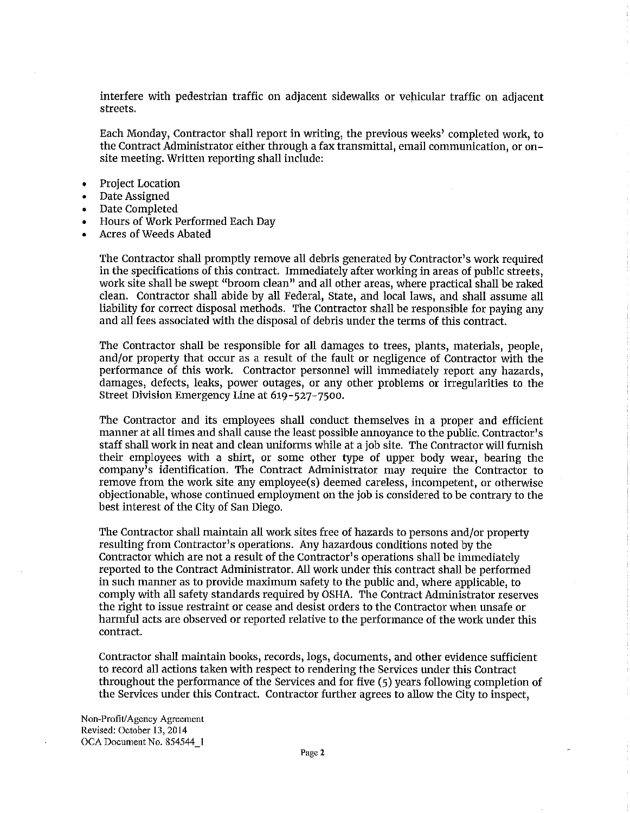interfere with pedestrian traffic on adjacent sidewalks or vehicular traffic on adjacent streets.

Each Monday, Contractor shall report in writing, the previous weeks' completed work, to the Contract Administrator either through a fax transmittal, email communication, or onsite meeting. Written reporting shall include:

- Project Location
- Date Assigned
- Date Completed
- Hours of Work Performed Each Day
- Acres of Weeds Abated

The Contractor shall promptly remove all debris generated by Contractor's work required in the specifications of this contract. Immediately after working in areas of public streets, work site shall be swept "broom clean" and all other areas, where practical shall be raked clean. Contractor shall abide by all Federal, State, and local laws, and shall assume all liability for correct disposal methods. The Contractor shall be responsible for paying any and all fees associated with the disposal of debris under the terms of this contract.

The Contractor shall be responsible for all damages to trees, plants, materials, people, and/or property that occur as a result of the fault or negligence of Contractor with the performance of this work. Contractor personnel will immediately report any hazards, damages, defects, leaks, power outages, or any other problems or irregularities to the Street Division Emergency Line at 619-527-7500.

The Contractor and its employees shall conduct themselves in a proper and efficient manner at all times and shall cause the least possible annoyance to the public. Contractor's staff shall work in neat and clean uniforms while at a job site. The Contractor will furnish their employees with a shirt, or some other type of upper body wear, bearing the company's identification. The Contract Administrator may require the Contractor to remove from the work site any employee(s) deemed careless, incompetent, or otherwise objectionable, whose continued employment on the job is considered to be contrary to the best interest of the City of San Diego.

The Contractor shall maintain all work sites free of hazards to persons and/or property resulting from Contractor's operations. Any hazardous conditions noted by the Contractor which are not a result of the Contractor's operations shall be immediately reported to the Contract Administrator. All work under this contract shall be performed in such manner as to provide maximum safety to the public and, where applicable, to comply with all safety standards required by OSHA. The Contract Administrator reserves the right to issue restraint or cease and desist orders to the Contractor when unsafe or harmful acts are observed or reported relative to the performance of the work under this contract.

Contractor shall maintain books, records, logs, documents, and other evidence sufficient to record all actions taken with respect to rendering the Services under this Contract throughout the performance of the Services and for five (5) years following completion of the Services under this Contract. Contractor further agrees to allow the City to inspect,

Non-Profit/Agency Agreement Revised: October 13, 2014 OCA Document No. 854544 1